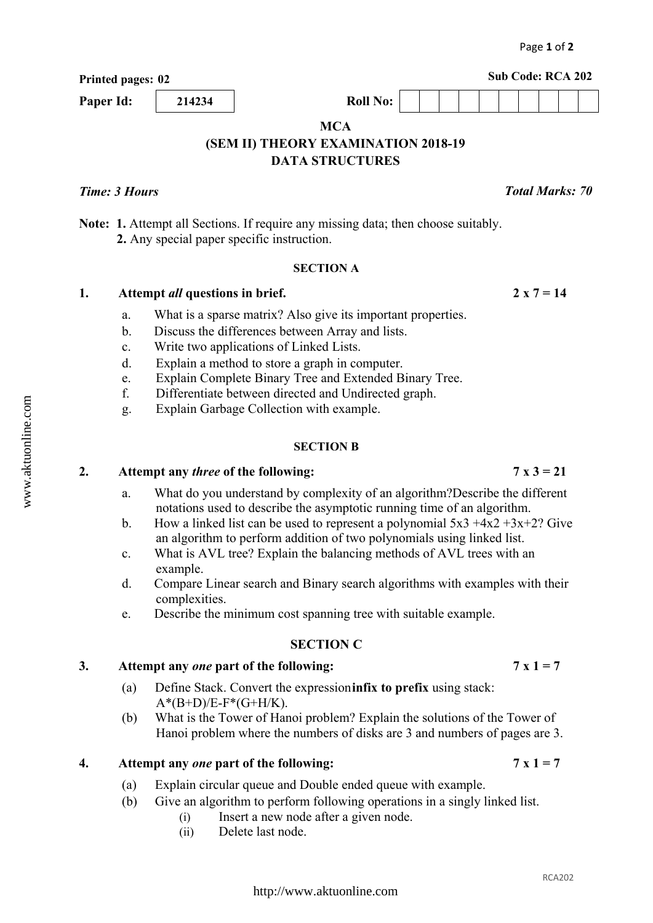# **Paper Id:**  $\begin{array}{|c|c|c|c|} \hline \textbf{214234} & \textbf{0.214234} \hline \end{array}$ **MCA**

**Printed pages: 02** Sub Code: RCA 202

# **(SEM II) THEORY EXAMINATION 2018-19 DATA STRUCTURES**

**Note: 1.** Attempt all Sections. If require any missing data; then choose suitably.  **2.** Any special paper specific instruction.

## **SECTION A**

# **1. Attempt** *all* **questions in brief. 2 x 7 = 14**

- a. What is a sparse matrix? Also give its important properties.
- b. Discuss the differences between Array and lists.
- c. Write two applications of Linked Lists.
- d. Explain a method to store a graph in computer.
- e. Explain Complete Binary Tree and Extended Binary Tree.
- f. Differentiate between directed and Undirected graph.
- g. Explain Garbage Collection with example.

## **SECTION B**

# 2. Attempt any *three* of the following:  $7 \times 3 = 21$

- a. What do you understand by complexity of an algorithm?Describe the different notations used to describe the asymptotic running time of an algorithm.
- b. How a linked list can be used to represent a polynomial  $5x3 + 4x2 + 3x + 2$ ? Give an algorithm to perform addition of two polynomials using linked list.
- c. What is AVL tree? Explain the balancing methods of AVL trees with an example.
- d. Compare Linear search and Binary search algorithms with examples with their complexities.
- e. Describe the minimum cost spanning tree with suitable example.

# **SECTION C**

# 3. Attempt any *one* part of the following:  $7 \times 1 = 7$

- (a) Define Stack. Convert the expression**infix to prefix** using stack:  $A*(B+D)/E-F*(G+H/K).$
- (b) What is the Tower of Hanoi problem? Explain the solutions of the Tower of Hanoi problem where the numbers of disks are 3 and numbers of pages are 3.

# **4.** Attempt any *one* part of the following:  $7 \times 1 = 7$

- (a) Explain circular queue and Double ended queue with example.
- (b) Give an algorithm to perform following operations in a singly linked list.

<http://www.aktuonline.com>

- (i) Insert a new node after a given node.
- (ii) Delete last node.

# *Time: 3 Hours Total Marks: 70*